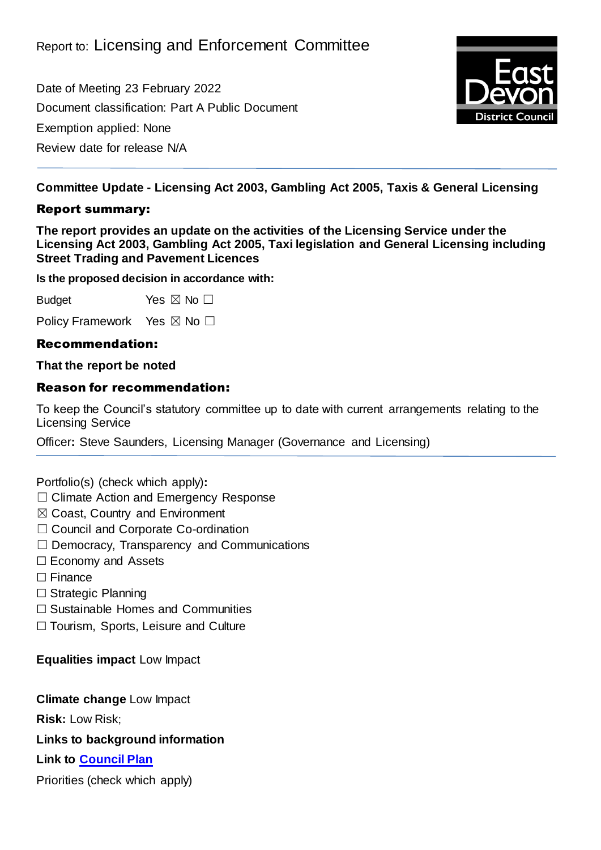Date of Meeting 23 February 2022 Document classification: Part A Public Document Exemption applied: None Review date for release N/A



**Committee Update - Licensing Act 2003, Gambling Act 2005, Taxis & General Licensing**

### Report summary:

**The report provides an update on the activities of the Licensing Service under the Licensing Act 2003, Gambling Act 2005, Taxi legislation and General Licensing including Street Trading and Pavement Licences**

**Is the proposed decision in accordance with:**

Budget Yes  $\boxtimes$  No  $\square$ 

Policy Framework Yes ⊠ No □

## Recommendation:

#### **That the report be noted**

#### Reason for recommendation:

To keep the Council's statutory committee up to date with current arrangements relating to the Licensing Service

Officer**:** Steve Saunders, Licensing Manager (Governance and Licensing)

Portfolio(s) (check which apply)**:**

- ☐ Climate Action and Emergency Response
- ☒ Coast, Country and Environment
- □ Council and Corporate Co-ordination
- ☐ Democracy, Transparency and Communications
- ☐ Economy and Assets
- ☐ Finance
- ☐ Strategic Planning
- ☐ Sustainable Homes and Communities

☐ Tourism, Sports, Leisure and Culture

**Equalities impact** Low Impact

**Climate change** Low Impact

**Risk:** Low Risk;

**Links to background information**

**Link to [Council Plan](https://eastdevon.gov.uk/councilplan/)**

Priorities (check which apply)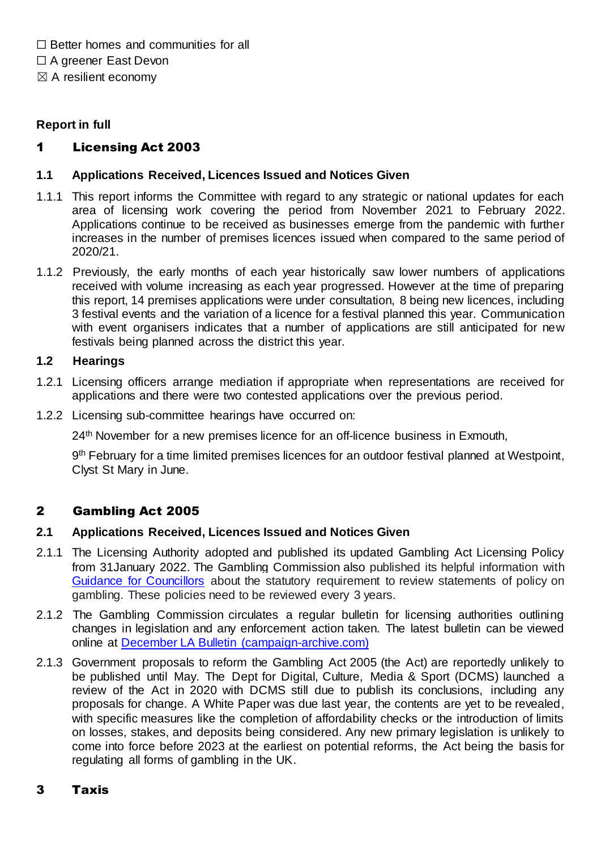$\Box$  Better homes and communities for all

□ A greener East Devon

 $\boxtimes$  A resilient economy

## **Report in full**

# 1 Licensing Act 2003

## **1.1 Applications Received, Licences Issued and Notices Given**

- 1.1.1 This report informs the Committee with regard to any strategic or national updates for each area of licensing work covering the period from November 2021 to February 2022. Applications continue to be received as businesses emerge from the pandemic with further increases in the number of premises licences issued when compared to the same period of 2020/21.
- 1.1.2 Previously, the early months of each year historically saw lower numbers of applications received with volume increasing as each year progressed. However at the time of preparing this report, 14 premises applications were under consultation, 8 being new licences, including 3 festival events and the variation of a licence for a festival planned this year. Communication with event organisers indicates that a number of applications are still anticipated for new festivals being planned across the district this year.

## **1.2 Hearings**

- 1.2.1 Licensing officers arrange mediation if appropriate when representations are received for applications and there were two contested applications over the previous period.
- 1.2.2 Licensing sub-committee hearings have occurred on:

24<sup>th</sup> November for a new premises licence for an off-licence business in Exmouth,

9<sup>th</sup> February for a time limited premises licences for an outdoor festival planned at Westpoint, Clyst St Mary in June.

# 2 Gambling Act 2005

## **2.1 Applications Received, Licences Issued and Notices Given**

- 2.1.1 The Licensing Authority adopted and published its updated Gambling Act Licensing Policy from 31January 2022. The Gambling Commission also published its helpful information with [Guidance for Councillors](https://assets.ctfassets.net/j16ev64qyf6l/5iKyno5WT6SQtjILUDYCTp/cf498094e7223b1abbcc95442a804005/Statement_of_gambling_licensing_policy_____A_Councillor___s_Guide__England___Wales_only_.pdf) about the statutory requirement to review statements of policy on gambling. These policies need to be reviewed every 3 years.
- 2.1.2 The Gambling Commission circulates a regular bulletin for licensing authorities outlining changes in legislation and any enforcement action taken. The latest bulletin can be viewed online at [December LA Bulletin \(campaign-archive.com\)](https://us14.campaign-archive.com/?u=98b2fb542d2fef77a0dd47cc7&id=9c3d304a05)
- 2.1.3 Government proposals to reform the Gambling Act 2005 (the Act) are reportedly unlikely to be published until May. The Dept for Digital, Culture, Media & Sport (DCMS) launched a review of the Act in 2020 with DCMS still due to publish its conclusions, including any proposals for change. A White Paper was due last year, the contents are yet to be revealed, with specific measures like the completion of affordability checks or the introduction of limits on losses, stakes, and deposits being considered. Any new primary legislation is unlikely to come into force before 2023 at the earliest on potential reforms, the Act being the basis for regulating all forms of gambling in the UK.

## 3 Taxis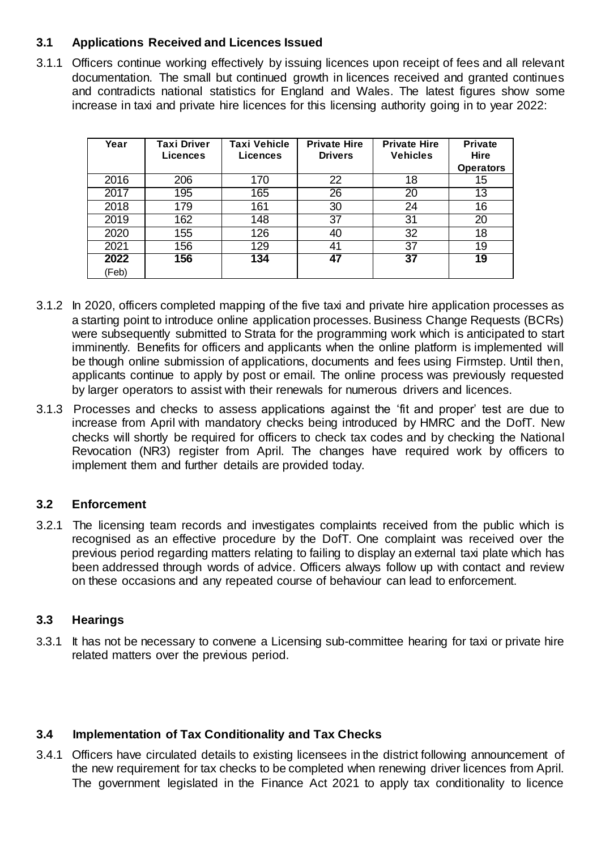## **3.1 Applications Received and Licences Issued**

3.1.1 Officers continue working effectively by issuing licences upon receipt of fees and all relevant documentation. The small but continued growth in licences received and granted continues and contradicts national statistics for England and Wales. The latest figures show some increase in taxi and private hire licences for this licensing authority going in to year 2022:

| Year          | <b>Taxi Driver</b><br><b>Licences</b> | <b>Taxi Vehicle</b><br>Licences | <b>Private Hire</b><br><b>Drivers</b> | <b>Private Hire</b><br><b>Vehicles</b> | <b>Private</b><br>Hire<br><b>Operators</b> |
|---------------|---------------------------------------|---------------------------------|---------------------------------------|----------------------------------------|--------------------------------------------|
| 2016          | 206                                   | 170                             | 22                                    | 18                                     | 15                                         |
| 2017          | 195                                   | 165                             | 26                                    | 20                                     | $1\overline{3}$                            |
| 2018          | 179                                   | 161                             | 30                                    | 24                                     | 16                                         |
| 2019          | 162                                   | 148                             | 37                                    | 31                                     | 20                                         |
| 2020          | 155                                   | 126                             | 40                                    | 32                                     | 18                                         |
| 2021          | 156                                   | 129                             | 41                                    | 37                                     | 19                                         |
| 2022<br>(Feb) | 156                                   | 134                             | 47                                    | 37                                     | 19                                         |

- 3.1.2 In 2020, officers completed mapping of the five taxi and private hire application processes as a starting point to introduce online application processes. Business Change Requests (BCRs) were subsequently submitted to Strata for the programming work which is anticipated to start imminently. Benefits for officers and applicants when the online platform is implemented will be though online submission of applications, documents and fees using Firmstep. Until then, applicants continue to apply by post or email. The online process was previously requested by larger operators to assist with their renewals for numerous drivers and licences.
- 3.1.3 Processes and checks to assess applications against the 'fit and proper' test are due to increase from April with mandatory checks being introduced by HMRC and the DofT. New checks will shortly be required for officers to check tax codes and by checking the National Revocation (NR3) register from April. The changes have required work by officers to implement them and further details are provided today.

# **3.2 Enforcement**

3.2.1 The licensing team records and investigates complaints received from the public which is recognised as an effective procedure by the DofT. One complaint was received over the previous period regarding matters relating to failing to display an external taxi plate which has been addressed through words of advice. Officers always follow up with contact and review on these occasions and any repeated course of behaviour can lead to enforcement.

## **3.3 Hearings**

3.3.1 It has not be necessary to convene a Licensing sub-committee hearing for taxi or private hire related matters over the previous period.

## **3.4 Implementation of Tax Conditionality and Tax Checks**

3.4.1 Officers have circulated details to existing licensees in the district following announcement of the new requirement for tax checks to be completed when renewing driver licences from April. The government legislated in the Finance Act 2021 to apply tax conditionality to licence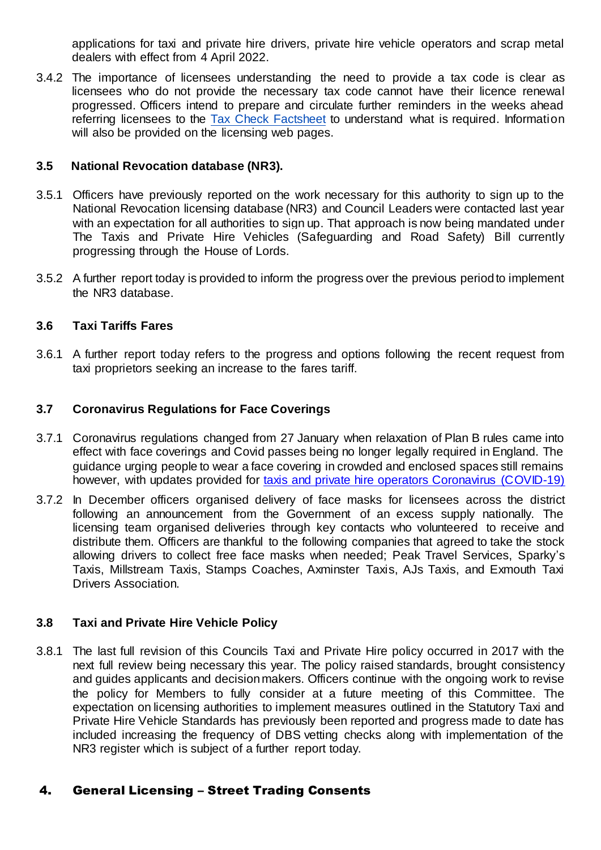applications for taxi and private hire drivers, private hire vehicle operators and scrap metal dealers with effect from 4 April 2022.

3.4.2 The importance of licensees understanding the need to provide a tax code is clear as licensees who do not provide the necessary tax code cannot have their licence renewal progressed. Officers intend to prepare and circulate further reminders in the weeks ahead referring licensees to the Tax Check [Factsheet](https://www.gov.uk/government/publications/licence-application-tax-check-communications-resources/tax-check-factsheet) to understand what is required. Information will also be provided on the licensing web pages.

#### **3.5 National Revocation database (NR3).**

- 3.5.1 Officers have previously reported on the work necessary for this authority to sign up to the National Revocation licensing database (NR3) and Council Leaders were contacted last year with an expectation for all authorities to sign up. That approach is now being mandated under The Taxis and Private Hire Vehicles (Safeguarding and Road Safety) Bill currently progressing through the House of Lords.
- 3.5.2 A further report today is provided to inform the progress over the previous period to implement the NR3 database.

#### **3.6 Taxi Tariffs Fares**

3.6.1 A further report today refers to the progress and options following the recent request from taxi proprietors seeking an increase to the fares tariff.

#### **3.7 Coronavirus Regulations for Face Coverings**

- 3.7.1 Coronavirus regulations changed from 27 January when relaxation of Plan B rules came into effect with face coverings and Covid passes being no longer legally required in England. The guidance urging people to wear a face covering in crowded and enclosed spaces still remains however, with updates provided for [taxis and private hire operators Coronavirus \(COVID-19\)](https://www.gov.uk/guidance/coronavirus-covid-19-taxis-and-phvs?utm_medium=email&utm_campaign=govuk-notifications-topic&utm_source=02c840db-454b-46e5-8b0b-392195a0817c&utm_content=immediately)
- 3.7.2 In December officers organised delivery of face masks for licensees across the district following an announcement from the Government of an excess supply nationally. The licensing team organised deliveries through key contacts who volunteered to receive and distribute them. Officers are thankful to the following companies that agreed to take the stock allowing drivers to collect free face masks when needed; Peak Travel Services, Sparky's Taxis, Millstream Taxis, Stamps Coaches, Axminster Taxis, AJs Taxis, and Exmouth Taxi Drivers Association.

#### **3.8 Taxi and Private Hire Vehicle Policy**

3.8.1 The last full revision of this Councils Taxi and Private Hire policy occurred in 2017 with the next full review being necessary this year. The policy raised standards, brought consistency and guides applicants and decision makers. Officers continue with the ongoing work to revise the policy for Members to fully consider at a future meeting of this Committee. The expectation on licensing authorities to implement measures outlined in the Statutory Taxi and Private Hire Vehicle Standards has previously been reported and progress made to date has included increasing the frequency of DBS vetting checks along with implementation of the NR3 register which is subject of a further report today.

#### 4. General Licensing – Street Trading Consents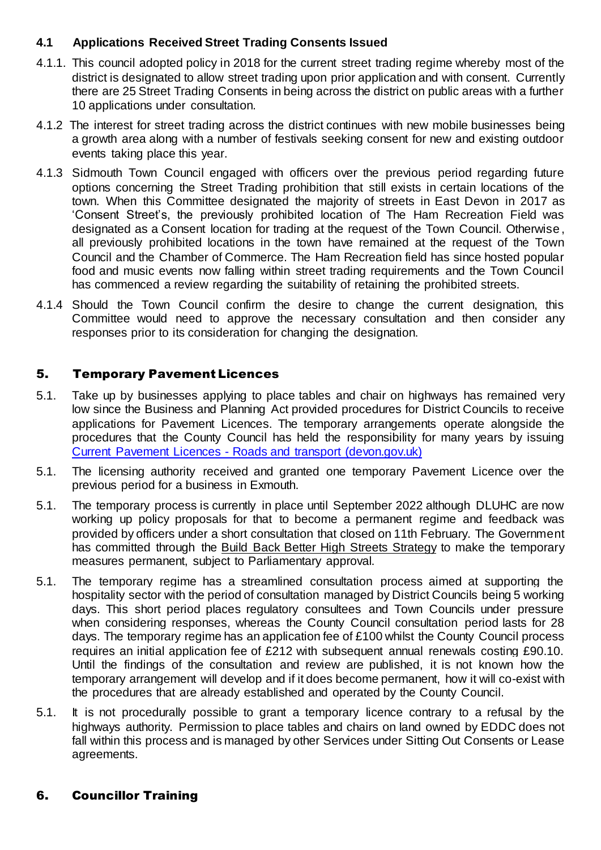## **4.1 Applications Received Street Trading Consents Issued**

- 4.1.1. This council adopted policy in 2018 for the current street trading regime whereby most of the district is designated to allow street trading upon prior application and with consent. Currently there are 25 Street Trading Consents in being across the district on public areas with a further 10 applications under consultation.
- 4.1.2 The interest for street trading across the district continues with new mobile businesses being a growth area along with a number of festivals seeking consent for new and existing outdoor events taking place this year.
- 4.1.3 Sidmouth Town Council engaged with officers over the previous period regarding future options concerning the Street Trading prohibition that still exists in certain locations of the town. When this Committee designated the majority of streets in East Devon in 2017 as 'Consent Street's, the previously prohibited location of The Ham Recreation Field was designated as a Consent location for trading at the request of the Town Council. Otherwise , all previously prohibited locations in the town have remained at the request of the Town Council and the Chamber of Commerce. The Ham Recreation field has since hosted popular food and music events now falling within street trading requirements and the Town Council has commenced a review regarding the suitability of retaining the prohibited streets.
- 4.1.4 Should the Town Council confirm the desire to change the current designation, this Committee would need to approve the necessary consultation and then consider any responses prior to its consideration for changing the designation.

## 5. Temporary Pavement Licences

- 5.1. Take up by businesses applying to place tables and chair on highways has remained very low since the Business and Planning Act provided procedures for District Councils to receive applications for Pavement Licences. The temporary arrangements operate alongside the procedures that the County Council has held the responsibility for many years by issuing Current Pavement Licences - [Roads and transport \(devon.gov.uk\)](https://www.devon.gov.uk/roadsandtransport/make-a-request/street-cafe/current-street-cafe-licences/)
- 5.1. The licensing authority received and granted one temporary Pavement Licence over the previous period for a business in Exmouth.
- 5.1. The temporary process is currently in place until September 2022 although DLUHC are now working up policy proposals for that to become a permanent regime and feedback was provided by officers under a short consultation that closed on 11th February. The Government has committed through the Build Back Better High Streets [Strategy](https://www.gov.uk/government/publications/build-back-better-high-streets) to make the temporary measures permanent, subject to Parliamentary approval.
- 5.1. The temporary regime has a streamlined consultation process aimed at supporting the hospitality sector with the period of consultation managed by District Councils being 5 working days. This short period places regulatory consultees and Town Councils under pressure when considering responses, whereas the County Council consultation period lasts for 28 days. The temporary regime has an application fee of £100 whilst the County Council process requires an initial application fee of £212 with subsequent annual renewals costing £90.10. Until the findings of the consultation and review are published, it is not known how the temporary arrangement will develop and if it does become permanent, how it will co-exist with the procedures that are already established and operated by the County Council.
- 5.1. It is not procedurally possible to grant a temporary licence contrary to a refusal by the highways authority. Permission to place tables and chairs on land owned by EDDC does not fall within this process and is managed by other Services under Sitting Out Consents or Lease agreements.

# 6. Councillor Training